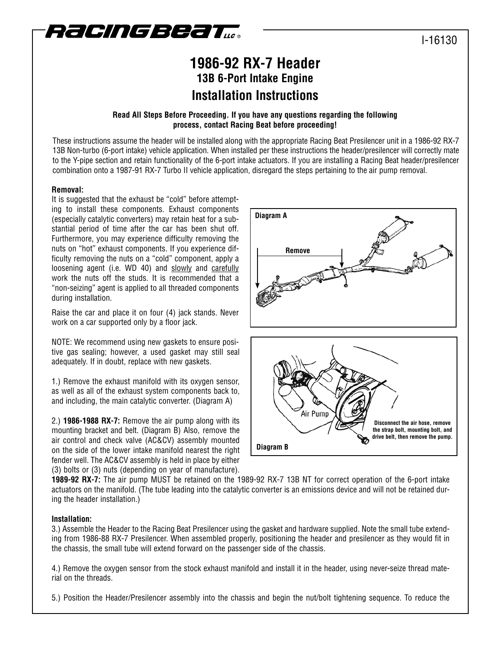

# I-16130

# **1986-92 RX-7 Header 13B 6-Port Intake Engine Installation Instructions**

## **Read All Steps Before Proceeding. If you have any questions regarding the following process, contact Racing Beat before proceeding!**

These instructions assume the header will be installed along with the appropriate Racing Beat Presilencer unit in a 1986-92 RX-7 13B Non-turbo (6-port intake) vehicle application. When installed per these instructions the header/presilencer will correctly mate to the Y-pipe section and retain functionality of the 6-port intake actuators. If you are installing a Racing Beat header/presilencer combination onto a 1987-91 RX-7 Turbo II vehicle application, disregard the steps pertaining to the air pump removal.

### **Removal:**

It is suggested that the exhaust be "cold" before attempting to install these components. Exhaust components (especially catalytic converters) may retain heat for a substantial period of time after the car has been shut off. Furthermore, you may experience difficulty removing the nuts on "hot" exhaust components. If you experience difficulty removing the nuts on a "cold" component, apply a loosening agent (i.e. WD 40) and slowly and carefully work the nuts off the studs. It is recommended that a "non-seizing" agent is applied to all threaded components during installation.

Raise the car and place it on four (4) jack stands. Never work on a car supported only by a floor jack.

NOTE: We recommend using new gaskets to ensure positive gas sealing; however, a used gasket may still seal adequately. If in doubt, replace with new gaskets.

1.) Remove the exhaust manifold with its oxygen sensor, as well as all of the exhaust system components back to, and including, the main catalytic converter. (Diagram A)

2.) **1986-1988 RX-7:** Remove the air pump along with its mounting bracket and belt. (Diagram B) Also, remove the air control and check valve (AC&CV) assembly mounted on the side of the lower intake manifold nearest the right fender well. The AC&CV assembly is held in place by either (3) bolts or (3) nuts (depending on year of manufacture).





**1989-92 RX-7:** The air pump MUST be retained on the 1989-92 RX-7 13B NT for correct operation of the 6-port intake actuators on the manifold. (The tube leading into the catalytic converter is an emissions device and will not be retained during the header installation.)

### **Installation:**

3.) Assemble the Header to the Racing Beat Presilencer using the gasket and hardware supplied. Note the small tube extending from 1986-88 RX-7 Presilencer. When assembled properly, positioning the header and presilencer as they would fit in the chassis, the small tube will extend forward on the passenger side of the chassis.

4.) Remove the oxygen sensor from the stock exhaust manifold and install it in the header, using never-seize thread material on the threads.

5.) Position the Header/Presilencer assembly into the chassis and begin the nut/bolt tightening sequence. To reduce the